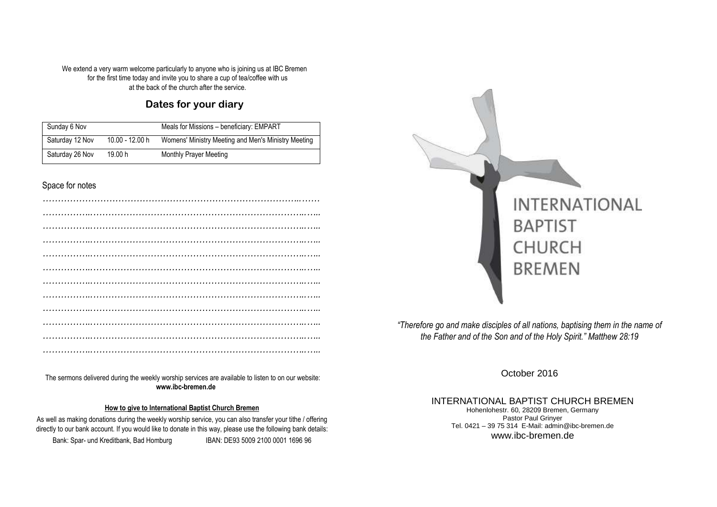We extend a very warm welcome particularly to anyone who is joining us at IBC Bremen for the first time today and invite you to share a cup of tea/coffee with us at the back of the church after the service.

## **Dates for your diary**

| Sunday 6 Nov    |                 | Meals for Missions - beneficiary: EMPART            |
|-----------------|-----------------|-----------------------------------------------------|
| Saturday 12 Nov | 10.00 - 12.00 h | Womens' Ministry Meeting and Men's Ministry Meeting |
| Saturday 26 Nov | 19.00 h         | <b>Monthly Prayer Meeting</b>                       |

### Space for notes

*………………………………………………………………………………….……*  The sermons delivered during the weekly worship services are available to listen to on our website: **www.ibc-bremen.de**

#### **How to give to International Baptist Church Bremen**

directly to our bank account. If you would like to donate in this way, please use the following bank details:<br> **DRALLERS FOR 5000 0004 4000 00**  As well as making donations during the weekly worship service, you can also transfer your tithe / offering Bank: Spar- und Kreditbank, Bad Homburg IBAN: DE93 5009 2100 0001 1696 96



*"Therefore go and make disciples of all nations, baptising them in the name of the Father and of the Son and of the Holy Spirit." Matthew 28:19* 

October 2016

INTERNATIONAL BAPTIST CHURCH BREMENHohenlohestr. 60, 28209 Bremen, Germany Pastor Paul Grinyer Tel. 0421 – 39 75 314 E-Mail: admin@ibc-bremen.de www.ibc-bremen.de